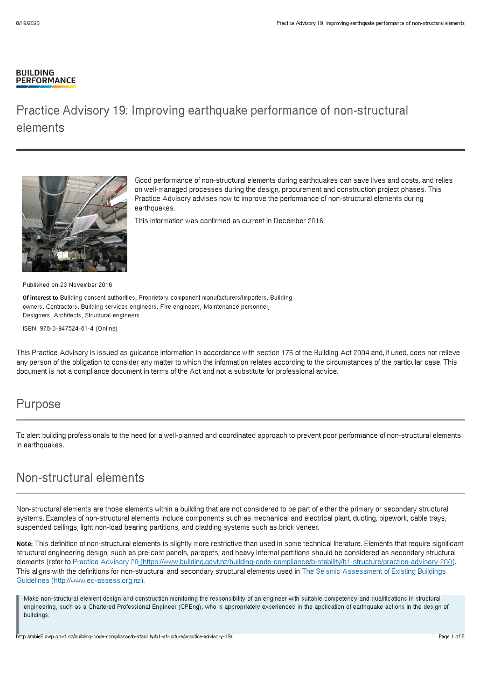#### **BUILDING PERFORMANCE**

# Practice Advisory 19: Improving earthquake performance of non-structural elements



Good performance of non-structural elements during earthquakes can save lives and costs, and relies on well-managed processes during the design, procurement and construction project phases. This Practice Advisory advises how to improve the performance of non-structural elements during earthquakes.

This information was confirmed as current in December 2016.

Published on 23 November 2016

Of interest to Building consent authorities, Proprietary component manufacturers/importers, Building owners, Contractors, Building services engineers, Fire engineers, Maintenance personnel, Designers, Architects, Structural engineers

ISBN: 978-0-947524-81-4 (Online)

This Practice Advisory is issued as guidance information in accordance with section 175 of the Building Act 2004 and, if used, does not relieve any person of the obligation to consider any matter to which the information relates according to the circumstances of the particular case. This document is not a compliance document in terms of the Act and not a substitute for professional advice.

### Purpose

To alert building professionals to the need for a well-planned and coordinated approach to prevent poor performance of non-structural elements in earthquakes.

### Non-structural elements

Non-structural elements are those elements within a building that are not considered to be part of either the primary or secondary structural systems. Examples of non-structural elements include components such as mechanical and electrical plant, ducting, pipework, cable trays, suspended ceilings, light non-load bearing partitions, and cladding systems such as brick veneer.

Note: This definition of non-structural elements is slightly more restrictive than used in some technical literature. Elements that require significant structural engineering design, such as pre-cast panels, parapets, and heavy internal partitions should be considered as secondary structural elements (refer to Practice Advisory 20 [\(https://www.building.govt.nz/building-code-compliance/b-stability/b1-structure/practice-advisory-20/\)](http://mbie5.cwp.govt.nz/building-code-compliance/b-stability/b1-structure/practice-advisory-20/)). This aligns with the definitions for non-structural and secondary structural elements used in The Seismic Assessment of Existing Buildings Guidelines [\(http://www.eq-assess.org.nz\).](http://www.eq-assess.org.nz)

Make non-structural element design and construction monitoring the responsibility of an engineer with suitable competency and qualifications in structural engineering, such as a Chartered Professional Engineer (CPEng), who is appropriately experienced in the application of earthquake actions in the design of buildings.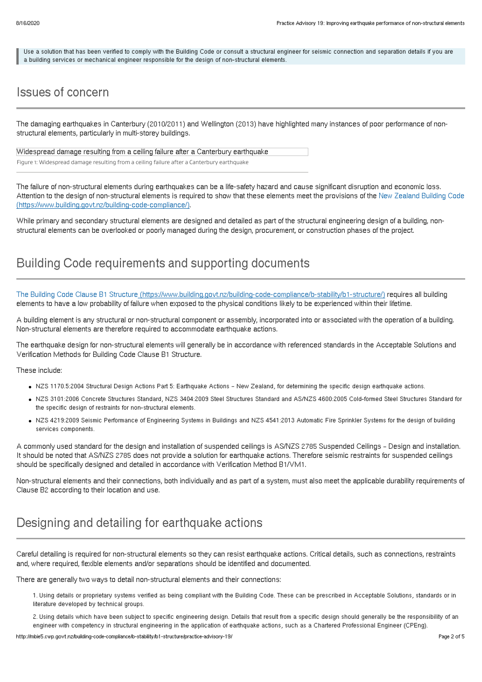Use a solution that has been verified to comply with the Building Code or consult a structural engineer for seismic connection and separation details if you are a building services or mechanical engineer responsible for the design of non-structural elements.

## Issues of concern

The damaging earthquakes in Canterbury (2010/2011) and Wellington (2013) have highlighted many instances of poor performance of nonstructural elements, particularly in multi-storey buildings.

Widespread damage resulting from a ceiling failure after a Canterbury earthquake Figure 1: Widespread damage resulting from a ceiling failure after a Canterbury earthquake

The failure of non-structural elements during earthquakes can be a life-safety hazard and cause significant disruption and economic loss. Attention to the design of non-structural elements is required to show that these elements meet the provisions of the New Zealand Building Code [\(https://www.building.govt.nz/building-code-compliance/\).](http://mbie5.cwp.govt.nz/building-code-compliance/)

While primary and secondary structural elements are designed and detailed as part of the structural engineering design of a building, nonstructural elements can be overlooked or poorly managed during the design, procurement, or construction phases of the project.

### Building Code requirements and supporting documents

The Building Code Clause B1 Structure [\(https://www.building.govt.nz/building-code-compliance/b-stability/b1-structure/\)](http://mbie5.cwp.govt.nz/building-code-compliance/b-stability/b1-structure/) requires all building elements to have a low probability of failure when exposed to the physical conditions likely to be experienced within their lifetime.

A building element is any structural or non-structural component or assembly, incorporated into or associated with the operation of a building. Non-structural elements are therefore required to accommodate earthquake actions.

The earthquake design for non-structural elements will generally be in accordance with referenced standards in the Acceptable Solutions and Verification Methods for Building Code Clause B1 Structure.

These include:

- NZS 1170.5:2004 Structural Design Actions Part 5: Earthquake Actions New Zealand, for determining the specific design earthquake actions.
- NZS 3101:2006 Concrete Structures Standard, NZS 3404:2009 Steel Structures Standard and AS/NZS 4600:2005 Cold-formed Steel Structures Standard for the specific design of restraints for non-structural elements.
- NZS 4219:2009 Seismic Performance of Engineering Systems in Buildings and NZS 4541:2013 Automatic Fire Sprinkler Systems for the design of building services components.

A commonly used standard for the design and installation of suspended ceilings is AS/NZS 2785 Suspended Ceilings – Design and installation. It should be noted that AS/NZS 2785 does not provide a solution for earthquake actions. Therefore seismic restraints for suspended ceilings should be specifically designed and detailed in accordance with Verification Method B1/VM1.

Non-structural elements and their connections, both individually and as part of a system, must also meet the applicable durability requirements of Clause B2 according to their location and use.

# Designing and detailing for earthquake actions

Careful detailing is required for non-structural elements so they can resist earthquake actions. Critical details, such as connections, restraints and, where required, flexible elements and/or separations should be identified and documented.

There are generally two ways to detail non-structural elements and their connections:

1. Using details or proprietary systems verified as being compliant with the Building Code. These can be prescribed in Acceptable Solutions, standards or in literature developed by technical groups.

2. Using details which have been subject to specific engineering design. Details that result from a specific design should generally be the responsibility of an engineer with competency in structural engineering in the application of earthquake actions, such as a Chartered Professional Engineer (CPEng).

http://mbie5.cwp.govt.nz/building-code-compliance/b-stability/b1-structure/practice-advisory-19/ Page 2 of 5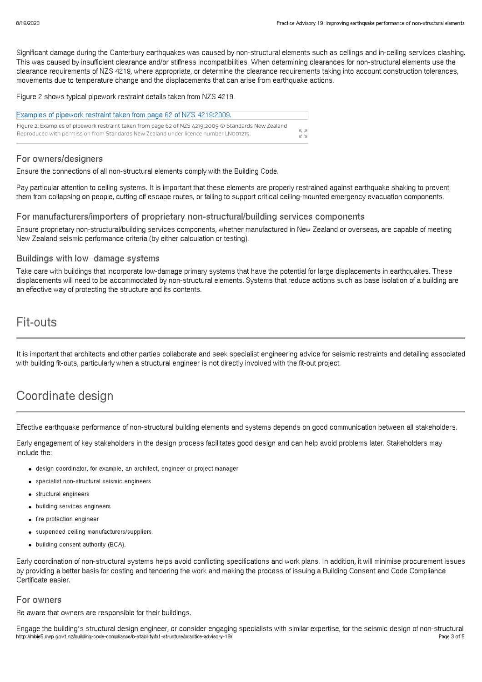Significant damage during the Canterbury earthquakes was caused by non-structural elements such as ceilings and in-ceiling services clashing. This was caused by insufficient clearance and/or stiffness incompatibilities. When determining clearances for non-structural elements use the clearance requirements of NZS 4219, where appropriate, or determine the clearance requirements taking into account construction tolerances, movements due to temperature change and the displacements that can arise from earthquake actions.

Figure 2 shows typical pipework restraint details taken from NZS 4219.

| Examples of pipework restraint taken from page 62 of NZS 4219:2009.                                  |             |
|------------------------------------------------------------------------------------------------------|-------------|
| Figure 2: Examples of pipework restraint taken from page 62 of NZS 4219:2009 © Standards New Zealand | 一 八 八       |
| Reproduced with permission from Standards New Zealand under licence number LN001215.                 | <b>IZ M</b> |

### For owners/designers

Ensure the connections of all non-structural elements comply with the Building Code.

Pay particular attention to ceiling systems. It is important that these elements are properly restrained against earthquake shaking to prevent them from collapsing on people, cutting off escape routes, or failing to support critical ceiling-mounted emergency evacuation components.

#### For manufacturers/importers of proprietary non-structural/building services components

Ensure proprietary non-structural/building services components, whether manufactured in New Zealand or overseas, are capable of meeting New Zealand seismic performance criteria (by either calculation or testing).

### Buildings with low–damage systems

Take care with buildings that incorporate low-damage primary systems that have the potential for large displacements in earthquakes. These displacements will need to be accommodated by non-structural elements. Systems that reduce actions such as base isolation of a building are an effective way of protecting the structure and its contents.

## Fit-outs

It is important that architects and other parties collaborate and seek specialist engineering advice for seismic restraints and detailing associated with building fit-outs, particularly when a structural engineer is not directly involved with the fit-out project.

## Coordinate design

Effective earthquake performance of non-structural building elements and systems depends on good communication between all stakeholders.

Early engagement of key stakeholders in the design process facilitates good design and can help avoid problems later. Stakeholders may include the:

- design coordinator, for example, an architect, engineer or project manager
- specialist non-structural seismic engineers
- structural engineers
- building services engineers
- **•** fire protection engineer
- suspended ceiling manufacturers/suppliers
- building consent authority (BCA).

Early coordination of non-structural systems helps avoid conflicting specifications and work plans. In addition, it will minimise procurement issues by providing a better basis for costing and tendering the work and making the process of issuing a Building Consent and Code Compliance Certificate easier.

#### For owners

Be aware that owners are responsible for their buildings.

Engage the building's structural design engineer, or consider engaging specialists with similar expertise, for the seismic design of non-structural http://mbie5.cwp.govt.nz/building-code-compliance/b-stability/b1-structure/practice-advisory-19/ Page 3 of 5 Page 3 of 5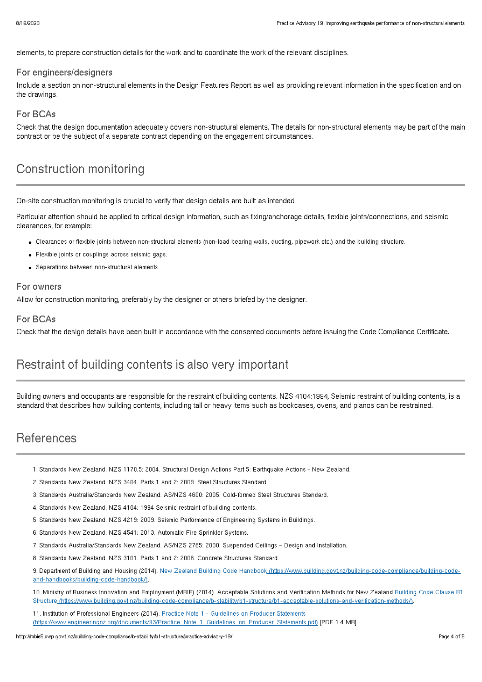elements, to prepare construction details for the work and to coordinate the work of the relevant disciplines.

#### For engineers/designers

Include a section on non-structural elements in the Design Features Report as well as providing relevant information in the specification and on the drawings.

### For BCAs

Check that the design documentation adequately covers non-structural elements. The details for non-structural elements may be part of the main contract or be the subject of a separate contract depending on the engagement circumstances.

## Construction monitoring

On-site construction monitoring is crucial to verify that design details are built as intended

Particular attention should be applied to critical design information, such as fixing/anchorage details, flexible joints/connections, and seismic clearances, for example:

- Clearances or flexible joints between non-structural elements (non-load bearing walls, ducting, pipework etc.) and the building structure.
- Flexible joints or couplings across seismic gaps.
- Separations between non-structural elements.

#### For owners

Allow for construction monitoring, preferably by the designer or others briefed by the designer.

### For BCAs

Check that the design details have been built in accordance with the consented documents before issuing the Code Compliance Certificate.

## Restraint of building contents is also very important

Building owners and occupants are responsible for the restraint of building contents. NZS 4104:1994, Seismic restraint of building contents, is a standard that describes how building contents, including tall or heavy items such as bookcases, ovens, and pianos can be restrained.

### **References**

- 1. Standards New Zealand. NZS 1170.5: 2004. Structural Design Actions Part 5: Earthquake Actions New Zealand.
- 2. Standards New Zealand. NZS 3404. Parts 1 and 2: 2009. Steel Structures Standard.
- 3. Standards Australia/Standards New Zealand. AS/NZS 4600: 2005. Cold-formed Steel Structures Standard.
- 4. Standards New Zealand. NZS 4104: 1994 Seismic restraint of building contents.
- 5. Standards New Zealand. NZS 4219: 2009. Seismic Performance of Engineering Systems in Buildings.
- 6. Standards New Zealand. NZS 4541: 2013. Automatic Fire Sprinkler Systems.
- 7. Standards Australia/Standards New Zealand. AS/NZS 2785: 2000. Suspended Ceilings Design and Installation.
- 8. Standards New Zealand. NZS 3101. Parts 1 and 2: 2006. Concrete Structures Standard.

9. Department of Building and Housing (2014). New Zealand Building Code Handbook [\(https://www.building.govt.nz/building-code-compliance/building-code](http://mbie5.cwp.govt.nz/building-code-compliance/building-code-and-handbooks/building-code-handbook/)and-handbooks/building-code-handbook/).

10. Ministry of Business Innovation and Employment (MBIE) (2014). Acceptable Solutions and Verification Methods for New Zealand Building Code Clause B1 Structure [\(https://www.building.govt.nz/building-code-compliance/b-stability/b1-structure/b1-acceptable-solutions-and-verification-methods/\).](http://mbie5.cwp.govt.nz/building-code-compliance/b-stability/b1-structure/b1-acceptable-solutions-and-verification-methods/)

11. Institution of Professional Engineers (2014). Practice Note 1 - Guidelines on Producer Statements [\(https://www.engineeringnz.org/documents/93/Practice\\_Note\\_1\\_Guidelines\\_on\\_Producer\\_Statements.pdf\)](https://www.engineeringnz.org/documents/93/Practice_Note_1_Guidelines_on_Producer_Statements.pdf) [PDF 1.4 MB].